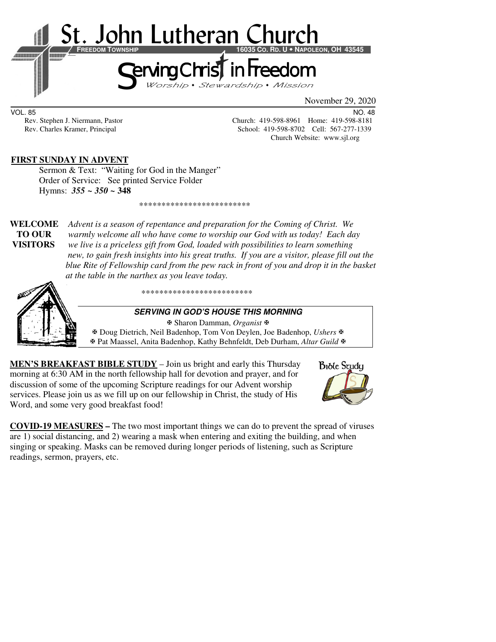

VOL. 85 NO. 48

Rev. Stephen J. Niermann, Pastor Church: 419-598-8961 Home: 419-598-8181 Rev. Charles Kramer, Principal School: 419-598-8702 Cell: 567-277-1339 Church Website: www.sjl.org

### **FIRST SUNDAY IN ADVENT**

Sermon & Text: "Waiting for God in the Manger" Order of Service: See printed Service Folder Hymns: *355 ~ 350 ~* **348**

\*\*\*\*\*\*\*\*\*\*\*\*\*\*\*\*\*\*\*\*\*\*\*\*\*

**WELCOME** *Advent is a season of repentance and preparation for the Coming of Christ. We* **TO OUR** *warmly welcome all who have come to worship our God with us today! Each day*  **VISITORS** *we live is a priceless gift from God, loaded with possibilities to learn something new, to gain fresh insights into his great truths. If you are a visitor, please fill out the blue Rite of Fellowship card from the pew rack in front of you and drop it in the basket at the table in the narthex as you leave today.* 



\*\*\*\*\*\*\*\*\*\*\*\*\*\*\*\*\*\*\*\*\*\*\*\*\*

#### **SERVING IN GOD'S HOUSE THIS MORNING**

 Sharon Damman, *Organist* Doug Dietrich, Neil Badenhop, Tom Von Deylen, Joe Badenhop, *Ushers* Pat Maassel, Anita Badenhop, Kathy Behnfeldt, Deb Durham, *Altar Guild*

**MEN'S BREAKFAST BIBLE STUDY** – Join us bright and early this Thursday morning at 6:30 AM in the north fellowship hall for devotion and prayer, and for discussion of some of the upcoming Scripture readings for our Advent worship services. Please join us as we fill up on our fellowship in Christ, the study of His Word, and some very good breakfast food!



**COVID-19 MEASURES –** The two most important things we can do to prevent the spread of viruses are 1) social distancing, and 2) wearing a mask when entering and exiting the building, and when singing or speaking. Masks can be removed during longer periods of listening, such as Scripture readings, sermon, prayers, etc.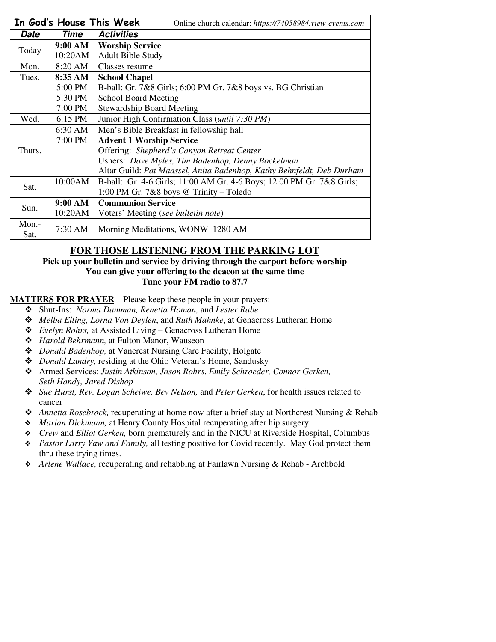| In God's House This Week<br>Online church calendar: https://74058984.view-events.com |         |                                                                       |  |  |  |
|--------------------------------------------------------------------------------------|---------|-----------------------------------------------------------------------|--|--|--|
| Date                                                                                 | Time    | <b>Activities</b>                                                     |  |  |  |
| Today                                                                                | 9:00 AM | <b>Worship Service</b>                                                |  |  |  |
|                                                                                      | 10:20AM | <b>Adult Bible Study</b>                                              |  |  |  |
| Mon.                                                                                 | 8:20 AM | Classes resume                                                        |  |  |  |
| Tues.                                                                                | 8:35 AM | <b>School Chapel</b>                                                  |  |  |  |
|                                                                                      | 5:00 PM | B-ball: Gr. 7&8 Girls; 6:00 PM Gr. 7&8 boys vs. BG Christian          |  |  |  |
|                                                                                      | 5:30 PM | <b>School Board Meeting</b>                                           |  |  |  |
|                                                                                      | 7:00 PM | <b>Stewardship Board Meeting</b>                                      |  |  |  |
| Wed.                                                                                 | 6:15 PM | Junior High Confirmation Class ( <i>until 7:30 PM</i> )               |  |  |  |
| Thurs.                                                                               | 6:30 AM | Men's Bible Breakfast in fellowship hall                              |  |  |  |
|                                                                                      | 7:00 PM | <b>Advent 1 Worship Service</b>                                       |  |  |  |
|                                                                                      |         | Offering: Shepherd's Canyon Retreat Center                            |  |  |  |
|                                                                                      |         | Ushers: Dave Myles, Tim Badenhop, Denny Bockelman                     |  |  |  |
|                                                                                      |         | Altar Guild: Pat Maassel, Anita Badenhop, Kathy Behnfeldt, Deb Durham |  |  |  |
| Sat.                                                                                 | 10:00AM | B-ball: Gr. 4-6 Girls; 11:00 AM Gr. 4-6 Boys; 12:00 PM Gr. 7&8 Girls; |  |  |  |
|                                                                                      |         | 1:00 PM Gr. 7&8 boys @ Trinity - Toledo                               |  |  |  |
| Sun.                                                                                 | 9:00 AM | <b>Communion Service</b>                                              |  |  |  |
|                                                                                      | 10:20AM | Voters' Meeting (see bulletin note)                                   |  |  |  |
| Mon.-<br>Sat.                                                                        | 7:30 AM | Morning Meditations, WONW 1280 AM                                     |  |  |  |

## **FOR THOSE LISTENING FROM THE PARKING LOT**

#### **Pick up your bulletin and service by driving through the carport before worship You can give your offering to the deacon at the same time Tune your FM radio to 87.7**

#### **MATTERS FOR PRAYER** – Please keep these people in your prayers:

- Shut-Ins: *Norma Damman, Renetta Homan,* and *Lester Rabe*
- *Melba Elling, Lorna Von Deylen*, and *Ruth Mahnke*, at Genacross Lutheran Home
- *Evelyn Rohrs,* at Assisted Living Genacross Lutheran Home
- *Harold Behrmann,* at Fulton Manor, Wauseon
- *Donald Badenhop,* at Vancrest Nursing Care Facility, Holgate
- *Donald Landry,* residing at the Ohio Veteran's Home, Sandusky
- Armed Services: *Justin Atkinson, Jason Rohrs*, *Emily Schroeder, Connor Gerken, Seth Handy, Jared Dishop*
- *Sue Hurst, Rev. Logan Scheiwe, Bev Nelson,* and *Peter Gerken*, for health issues related to cancer
- *Annetta Rosebrock,* recuperating at home now after a brief stay at Northcrest Nursing & Rehab
- *Marian Dickmann,* at Henry County Hospital recuperating after hip surgery
- *Crew* and *Elliot Gerken,* born prematurely and in the NICU at Riverside Hospital, Columbus
- *Pastor Larry Yaw and Family,* all testing positive for Covid recently. May God protect them thru these trying times.
- *Arlene Wallace,* recuperating and rehabbing at Fairlawn Nursing & Rehab Archbold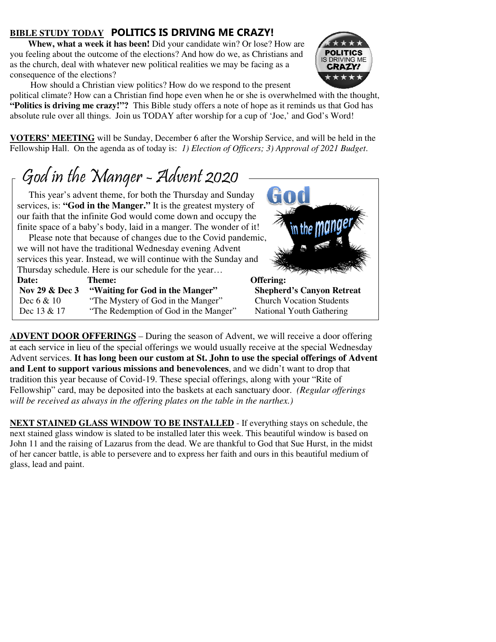## **BIBLE STUDY TODAY POLITICS IS DRIVING ME CRAZY!**

**Whew, what a week it has been!** Did your candidate win? Or lose? How are you feeling about the outcome of the elections? And how do we, as Christians and as the church, deal with whatever new political realities we may be facing as a consequence of the elections?



How should a Christian view politics? How do we respond to the present

political climate? How can a Christian find hope even when he or she is overwhelmed with the thought, **"Politics is driving me crazy!"?** This Bible study offers a note of hope as it reminds us that God has absolute rule over all things. Join us TODAY after worship for a cup of 'Joe,' and God's Word!

**VOTERS' MEETING** will be Sunday, December 6 after the Worship Service, and will be held in the Fellowship Hall. On the agenda as of today is: *1) Election of Officers; 3) Approval of 2021 Budget*.

# God in the Manger - Advent 2020

 $\overline{1}$ 

 This year's advent theme, for both the Thursday and Sunday services, is: **"God in the Manger."** It is the greatest mystery of our faith that the infinite God would come down and occupy the finite space of a baby's body, laid in a manger. The wonder of it!

 Please note that because of changes due to the Covid pandemic, we will not have the traditional Wednesday evening Advent services this year. Instead, we will continue with the Sunday and Thursday schedule. Here is our schedule for the year…

| Date:                     | Theme:                                | Offering:                       |
|---------------------------|---------------------------------------|---------------------------------|
| <b>Nov 29 &amp; Dec 3</b> | "Waiting for God in the Manger"       | <b>Shepherd's Canyon Retr</b>   |
| Dec $6 & 10$              | "The Mystery of God in the Manger"    | <b>Church Vocation Students</b> |
| Dec 13 & 17               | "The Redemption of God in the Manger" | National Youth Gathering        |



**ADVENT DOOR OFFERINGS** – During the season of Advent, we will receive a door offering at each service in lieu of the special offerings we would usually receive at the special Wednesday Advent services. **It has long been our custom at St. John to use the special offerings of Advent and Lent to support various missions and benevolences**, and we didn't want to drop that tradition this year because of Covid-19. These special offerings, along with your "Rite of Fellowship" card, may be deposited into the baskets at each sanctuary door. *(Regular offerings will be received as always in the offering plates on the table in the narthex.)* 

**NEXT STAINED GLASS WINDOW TO BE INSTALLED** - If everything stays on schedule, the next stained glass window is slated to be installed later this week. This beautiful window is based on John 11 and the raising of Lazarus from the dead. We are thankful to God that Sue Hurst, in the midst of her cancer battle, is able to persevere and to express her faith and ours in this beautiful medium of glass, lead and paint.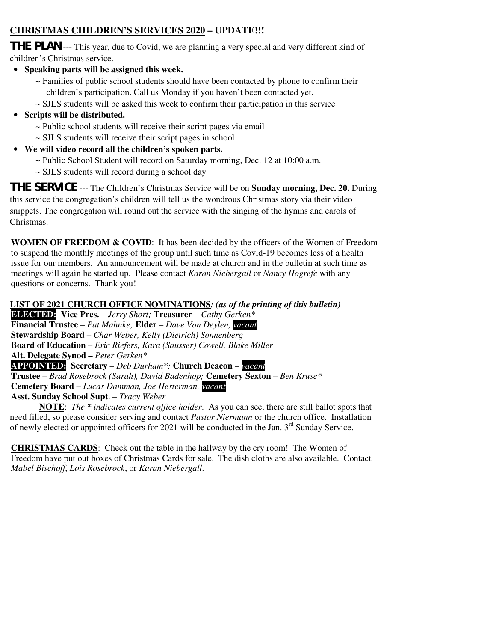## **CHRISTMAS CHILDREN'S SERVICES 2020 – UPDATE!!!**

**THE PLAN** --- This year, due to Covid, we are planning a very special and very different kind of children's Christmas service.

- **Speaking parts will be assigned this week.** 
	- ~ Families of public school students should have been contacted by phone to confirm their children's participation. Call us Monday if you haven't been contacted yet.
	- ~ SJLS students will be asked this week to confirm their participation in this service
- **Scripts will be distributed.** 
	- ~ Public school students will receive their script pages via email
	- ~ SJLS students will receive their script pages in school
- **We will video record all the children's spoken parts.** 
	- ~ Public School Student will record on Saturday morning, Dec. 12 at 10:00 a.m.
	- ~ SJLS students will record during a school day

**THE SERVICE** --- The Children's Christmas Service will be on **Sunday morning, Dec. 20.** During this service the congregation's children will tell us the wondrous Christmas story via their video snippets. The congregation will round out the service with the singing of the hymns and carols of Christmas.

**WOMEN OF FREEDOM & COVID:** It has been decided by the officers of the Women of Freedom to suspend the monthly meetings of the group until such time as Covid-19 becomes less of a health issue for our members. An announcement will be made at church and in the bulletin at such time as meetings will again be started up. Please contact *Karan Niebergall* or *Nancy Hogrefe* with any questions or concerns. Thank you!

**LIST OF 2021 CHURCH OFFICE NOMINATIONS***: (as of the printing of this bulletin)*

**ELECTED: Vice Pres.** – *Jerry Short;* **Treasurer** – *Cathy Gerken\** **Financial Trustee** – *Pat Mahnke;* **Elder** – *Dave Von Deylen, vacant* **Stewardship Board** – *Char Weber, Kelly (Dietrich) Sonnenberg*  **Board of Education** – *Eric Riefers, Kara (Sausser) Cowell, Blake Miller*  **Alt. Delegate Synod –** *Peter Gerken\** **APPOINTED: Secretary** – *Deb Durham\*;* **Church Deacon** – *vacant* **Trustee** – *Brad Rosebrock (Sarah), David Badenhop;* **Cemetery Sexton** – *Ben Kruse\** **Cemetery Board** – *Lucas Damman, Joe Hesterman, vacant*  **Asst. Sunday School Supt**. – *Tracy Weber*

**NOTE**: *The \* indicates current office holder*. As you can see, there are still ballot spots that need filled, so please consider serving and contact *Pastor Niermann* or the church office. Installation of newly elected or appointed officers for 2021 will be conducted in the Jan. 3<sup>rd</sup> Sunday Service.

**CHRISTMAS CARDS**: Check out the table in the hallway by the cry room! The Women of Freedom have put out boxes of Christmas Cards for sale. The dish cloths are also available. Contact *Mabel Bischoff*, *Lois Rosebrock*, or *Karan Niebergall*.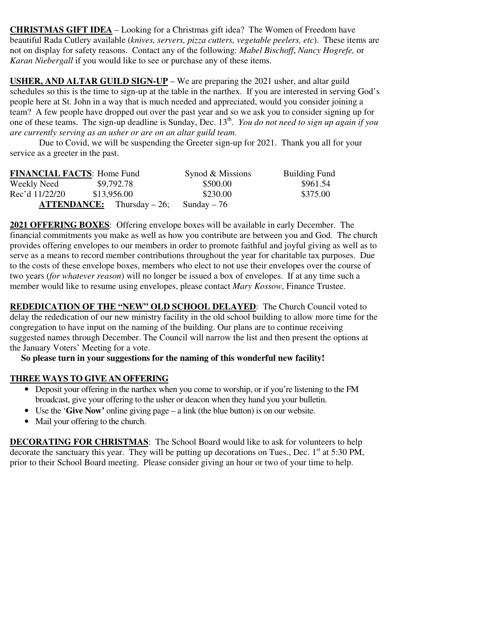**CHRISTMAS GIFT IDEA** – Looking for a Christmas gift idea? The Women of Freedom have beautiful Rada Cutlery available (*knives, servers, pizza cutters, vegetable peelers, etc*). These items are not on display for safety reasons. Contact any of the following: *Mabel Bischoff*, *Nancy Hogrefe,* or *Karan Niebergall* if you would like to see or purchase any of these items.

**USHER, AND ALTAR GUILD SIGN-UP** – We are preparing the 2021 usher, and altar guild schedules so this is the time to sign-up at the table in the narthex. If you are interested in serving God's people here at St. John in a way that is much needed and appreciated, would you consider joining a team? A few people have dropped out over the past year and so we ask you to consider signing up for one of these teams. The sign-up deadline is Sunday, Dec. 13<sup>th</sup>. *You do not need to sign up again if you are currently serving as an usher or are on an altar guild team.* 

 Due to Covid, we will be suspending the Greeter sign-up for 2021. Thank you all for your service as a greeter in the past.

| <b>FINANCIAL FACTS: Home Fund</b> |                                       | Synod & Missions | <b>Building Fund</b> |
|-----------------------------------|---------------------------------------|------------------|----------------------|
| Weekly Need                       | \$9,792.78                            | \$500.00         | \$961.54             |
| Rec'd 11/22/20                    | \$13,956.00                           | \$230.00         | \$375.00             |
|                                   | $\textbf{ATTENDANCE:}$ Thursday – 26; | Sunday $-76$     |                      |

**2021 OFFERING BOXES**: Offering envelope boxes will be available in early December. The financial commitments you make as well as how you contribute are between you and God. The church provides offering envelopes to our members in order to promote faithful and joyful giving as well as to serve as a means to record member contributions throughout the year for charitable tax purposes. Due to the costs of these envelope boxes, members who elect to not use their envelopes over the course of two years (*for whatever reason*) will no longer be issued a box of envelopes. If at any time such a member would like to resume using envelopes, please contact *Mary Kossow*, Finance Trustee.

**REDEDICATION OF THE "NEW" OLD SCHOOL DELAYED**: The Church Council voted to delay the rededication of our new ministry facility in the old school building to allow more time for the congregation to have input on the naming of the building. Our plans are to continue receiving suggested names through December. The Council will narrow the list and then present the options at the January Voters' Meeting for a vote.

 **So please turn in your suggestions for the naming of this wonderful new facility!** 

#### **THREE WAYS TO GIVE AN OFFERING**

- Deposit your offering in the narthex when you come to worship, or if you're listening to the FM broadcast, give your offering to the usher or deacon when they hand you your bulletin.
- Use the '**Give Now'** online giving page a link (the blue button) is on our website.
- Mail your offering to the church.

**DECORATING FOR CHRISTMAS**: The School Board would like to ask for volunteers to help decorate the sanctuary this year. They will be putting up decorations on Tues., Dec.  $1<sup>st</sup>$  at 5:30 PM, prior to their School Board meeting. Please consider giving an hour or two of your time to help.